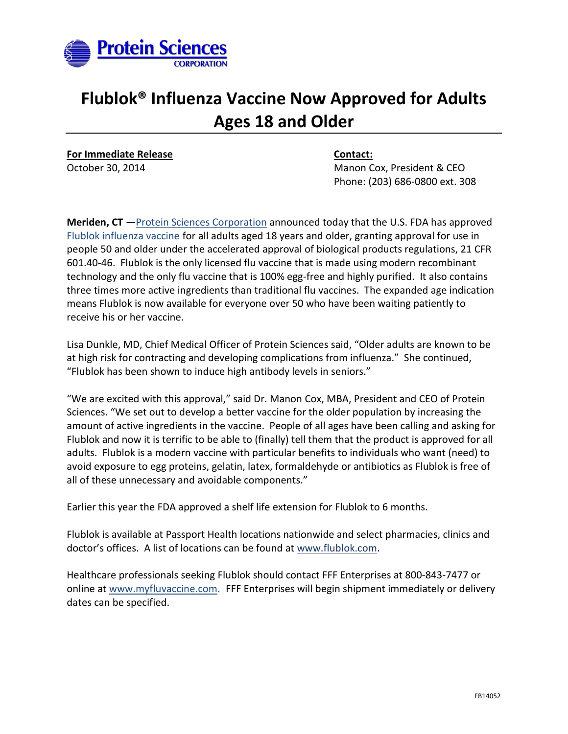

## **Flublok® Influenza Vaccine Now Approved for Adults Ages 18 and Older**

**For Immediate Release Contact:**

October 30, 2014 **Manon Cox, President & CEO** Phone: (203) 686-0800 ext. 308

**Meriden, CT** [—Protein Sciences Corporation](http://www.proteinsciences.com/) announced today that the U.S. FDA has approved [Flublok influenza vaccine](http://www.flublok.com/) for all adults aged 18 years and older, granting approval for use in people 50 and older under the accelerated approval of biological products regulations, 21 CFR 601.40-46. Flublok is the only licensed flu vaccine that is made using modern recombinant technology and the only flu vaccine that is 100% egg-free and highly purified. It also contains three times more active ingredients than traditional flu vaccines. The expanded age indication means Flublok is now available for everyone over 50 who have been waiting patiently to receive his or her vaccine.

Lisa Dunkle, MD, Chief Medical Officer of Protein Sciences said, "Older adults are known to be at high risk for contracting and developing complications from influenza." She continued, "Flublok has been shown to induce high antibody levels in seniors."

"We are excited with this approval," said Dr. Manon Cox, MBA, President and CEO of Protein Sciences. "We set out to develop a better vaccine for the older population by increasing the amount of active ingredients in the vaccine. People of all ages have been calling and asking for Flublok and now it is terrific to be able to (finally) tell them that the product is approved for all adults. Flublok is a modern vaccine with particular benefits to individuals who want (need) to avoid exposure to egg proteins, gelatin, latex, formaldehyde or antibiotics as Flublok is free of all of these unnecessary and avoidable components."

Earlier this year the FDA approved a shelf life extension for Flublok to 6 months.

Flublok is available at Passport Health locations nationwide and select pharmacies, clinics and doctor's offices. A list of locations can be found at [www.flublok.com.](http://www.flublok.com/)

Healthcare professionals seeking Flublok should contact FFF Enterprises at 800-843-7477 or online at [www.myfluvaccine.com](http://www.myfluvaccine.com/). FFF Enterprises will begin shipment immediately or delivery dates can be specified.